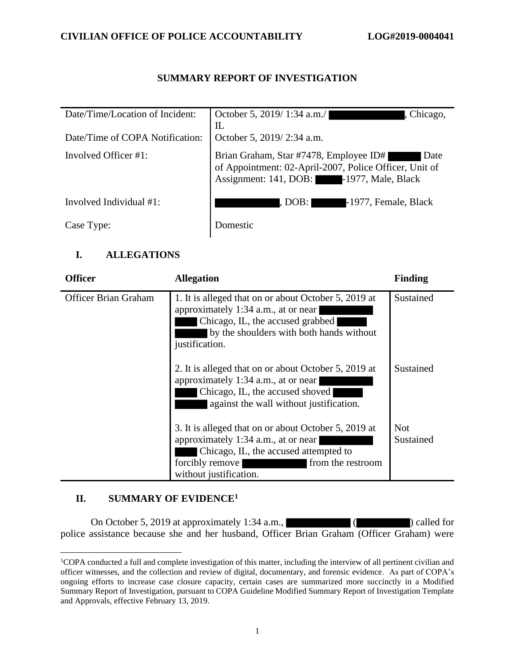## **SUMMARY REPORT OF INVESTIGATION**

| Date/Time/Location of Incident: | October 5, 2019/1:34 a.m./<br>Chicago,<br>$\mathbb{L}$                                                                                               |
|---------------------------------|------------------------------------------------------------------------------------------------------------------------------------------------------|
| Date/Time of COPA Notification: | October 5, 2019/2:34 a.m.                                                                                                                            |
| Involved Officer #1:            | Brian Graham, Star #7478, Employee ID#<br>of Appointment: 02-April-2007, Police Officer, Unit of<br>Date<br>Assignment: 141, DOB: -1977, Male, Black |
| Involved Individual #1:         | -1977, Female, Black<br>, DOB: I                                                                                                                     |
| Case Type:                      | <b>Domestic</b>                                                                                                                                      |

## **I. ALLEGATIONS**

| <b>Officer</b>              | <b>Allegation</b>                                                                                                                                                                                      | <b>Finding</b>          |
|-----------------------------|--------------------------------------------------------------------------------------------------------------------------------------------------------------------------------------------------------|-------------------------|
| <b>Officer Brian Graham</b> | 1. It is alleged that on or about October 5, 2019 at<br>approximately 1:34 a.m., at or near<br>Chicago, IL, the accused grabbed<br>by the shoulders with both hands without<br>justification.          | Sustained               |
|                             | 2. It is alleged that on or about October 5, 2019 at<br>approximately 1:34 a.m., at or near<br>Chicago, IL, the accused shoved<br>against the wall without justification.                              | Sustained               |
|                             | 3. It is alleged that on or about October 5, 2019 at<br>approximately 1:34 a.m., at or near<br>Chicago, IL, the accused attempted to<br>forcibly remove<br>from the restroom<br>without justification. | <b>Not</b><br>Sustained |

## **II. SUMMARY OF EVIDENCE<sup>1</sup>**

On October 5, 2019 at approximately 1:34 a.m., (Changel 2013) called for police assistance because she and her husband, Officer Brian Graham (Officer Graham) were

<sup>&</sup>lt;sup>1</sup>COPA conducted a full and complete investigation of this matter, including the interview of all pertinent civilian and officer witnesses, and the collection and review of digital, documentary, and forensic evidence. As part of COPA's ongoing efforts to increase case closure capacity, certain cases are summarized more succinctly in a Modified Summary Report of Investigation, pursuant to COPA Guideline Modified Summary Report of Investigation Template and Approvals, effective February 13, 2019.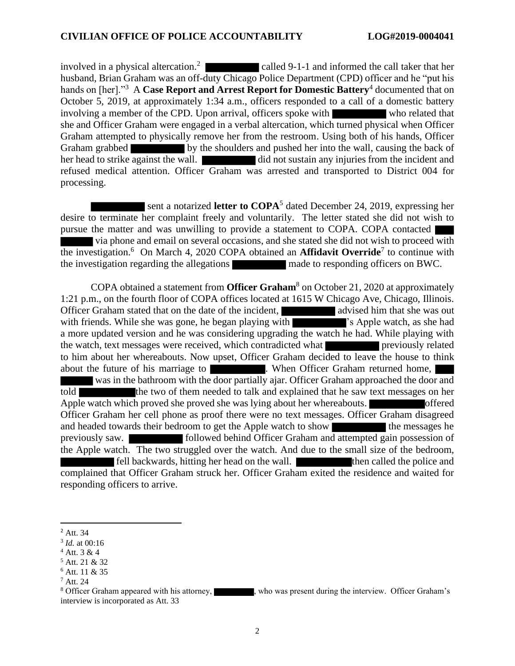involved in a physical altercation.<sup>2</sup> called 9-1-1 and informed the call taker that her husband, Brian Graham was an off-duty Chicago Police Department (CPD) officer and he "put his hands on [her]."<sup>3</sup> A **Case Report and Arrest Report for Domestic Battery**<sup>4</sup> documented that on October 5, 2019, at approximately 1:34 a.m., officers responded to a call of a domestic battery involving a member of the CPD. Upon arrival, officers spoke with who related that she and Officer Graham were engaged in a verbal altercation, which turned physical when Officer Graham attempted to physically remove her from the restroom. Using both of his hands, Officer Graham grabbed by the shoulders and pushed her into the wall, causing the back of her head to strike against the wall. did not sustain any injuries from the incident and refused medical attention. Officer Graham was arrested and transported to District 004 for processing.

sent a notarized letter to COPA<sup>5</sup> dated December 24, 2019, expressing her desire to terminate her complaint freely and voluntarily. The letter stated she did not wish to pursue the matter and was unwilling to provide a statement to COPA. COPA contacted via phone and email on several occasions, and she stated she did not wish to proceed with the investigation.<sup>6</sup> On March 4, 2020 COPA obtained an **Affidavit Override**<sup>7</sup> to continue with the investigation regarding the allegations made to responding officers on BWC.

COPA obtained a statement from **Officer Graham**<sup>8</sup> on October 21, 2020 at approximately 1:21 p.m., on the fourth floor of COPA offices located at 1615 W Chicago Ave, Chicago, Illinois. Officer Graham stated that on the date of the incident, advised him that she was out with friends. While she was gone, he began playing with **'s** Apple watch, as she had a more updated version and he was considering upgrading the watch he had. While playing with the watch, text messages were received, which contradicted what previously related to him about her whereabouts. Now upset, Officer Graham decided to leave the house to think about the future of his marriage to **When Officer Graham returned home**, was in the bathroom with the door partially ajar. Officer Graham approached the door and told the two of them needed to talk and explained that he saw text messages on her Apple watch which proved she proved she was lying about her whereabouts. Officer Graham her cell phone as proof there were no text messages. Officer Graham disagreed and headed towards their bedroom to get the Apple watch to show the messages he previously saw. followed behind Officer Graham and attempted gain possession of the Apple watch. The two struggled over the watch. And due to the small size of the bedroom, fell backwards, hitting her head on the wall. then called the police and complained that Officer Graham struck her. Officer Graham exited the residence and waited for responding officers to arrive.

<sup>2</sup> Att. 34

<sup>3</sup> *Id.* at 00:16

<sup>4</sup> Att. 3 & 4

<sup>5</sup> Att. 21 & 32

<sup>6</sup> Att. 11 & 35

<sup>7</sup> Att. 24

<sup>&</sup>lt;sup>8</sup> Officer Graham appeared with his attorney, who was present during the interview. Officer Graham's interview is incorporated as Att. 33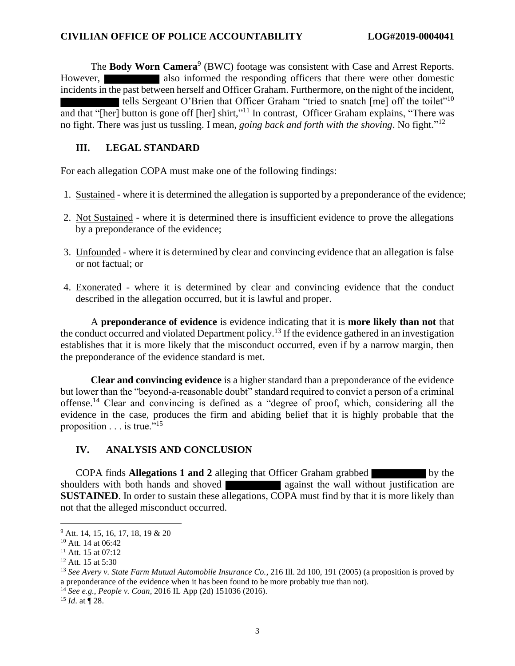The **Body Worn Camera**<sup>9</sup> (BWC) footage was consistent with Case and Arrest Reports. However, also informed the responding officers that there were other domestic incidents in the past between herself and Officer Graham. Furthermore, on the night of the incident, tells Sergeant O'Brien that Officer Graham "tried to snatch [me] off the toilet"<sup>10</sup> and that "[her] button is gone off [her] shirt,"<sup>11</sup> In contrast, Officer Graham explains, "There was no fight. There was just us tussling. I mean, *going back and forth with the shoving*. No fight." 12

### **III. LEGAL STANDARD**

For each allegation COPA must make one of the following findings:

- 1. Sustained where it is determined the allegation is supported by a preponderance of the evidence;
- 2. Not Sustained where it is determined there is insufficient evidence to prove the allegations by a preponderance of the evidence;
- 3. Unfounded where it is determined by clear and convincing evidence that an allegation is false or not factual; or
- 4. Exonerated where it is determined by clear and convincing evidence that the conduct described in the allegation occurred, but it is lawful and proper.

A **preponderance of evidence** is evidence indicating that it is **more likely than not** that the conduct occurred and violated Department policy.<sup>13</sup> If the evidence gathered in an investigation establishes that it is more likely that the misconduct occurred, even if by a narrow margin, then the preponderance of the evidence standard is met.

**Clear and convincing evidence** is a higher standard than a preponderance of the evidence but lower than the "beyond-a-reasonable doubt" standard required to convict a person of a criminal offense.<sup>14</sup> Clear and convincing is defined as a "degree of proof, which, considering all the evidence in the case, produces the firm and abiding belief that it is highly probable that the proposition  $\ldots$  is true."<sup>15</sup>

## **IV. ANALYSIS AND CONCLUSION**

COPA finds **Allegations 1 and 2** alleging that Officer Graham grabbed by the shoulders with both hands and shoved against the wall without justification are **SUSTAINED**. In order to sustain these allegations, COPA must find by that it is more likely than not that the alleged misconduct occurred.

<sup>15</sup> *Id*. at ¶ 28.

<sup>9</sup> Att. 14, 15, 16, 17, 18, 19 & 20

<sup>&</sup>lt;sup>10</sup> Att. 14 at 06:42

<sup>&</sup>lt;sup>11</sup> Att. 15 at 07:12

 $12$  Att. 15 at 5:30

<sup>13</sup> *See Avery v. State Farm Mutual Automobile Insurance Co.*, 216 Ill. 2d 100, 191 (2005) (a proposition is proved by a preponderance of the evidence when it has been found to be more probably true than not).

<sup>14</sup> *See e.g.*, *People v. Coan*, 2016 IL App (2d) 151036 (2016).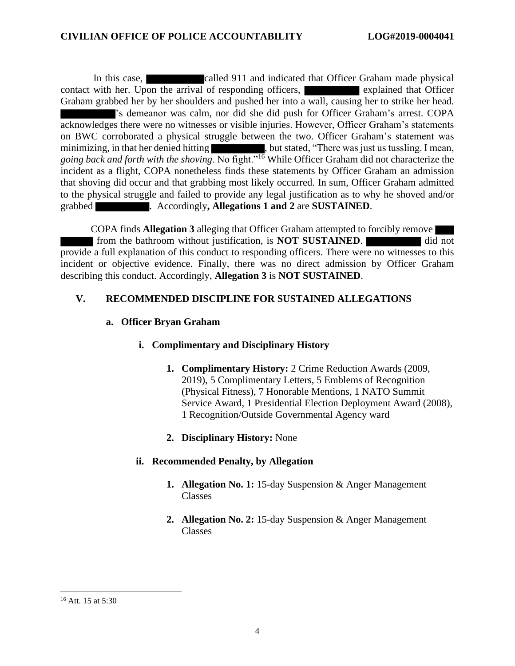In this case, called 911 and indicated that Officer Graham made physical contact with her. Upon the arrival of responding officers, explained that Officer Graham grabbed her by her shoulders and pushed her into a wall, causing her to strike her head. 's demeanor was calm, nor did she did push for Officer Graham's arrest. COPA acknowledges there were no witnesses or visible injuries. However, Officer Graham's statements on BWC corroborated a physical struggle between the two. Officer Graham's statement was minimizing, in that her denied hitting , but stated, "There was just us tussling. I mean, going back and forth with the shoving. No fight."<sup>16</sup> While Officer Graham did not characterize the incident as a flight, COPA nonetheless finds these statements by Officer Graham an admission that shoving did occur and that grabbing most likely occurred. In sum, Officer Graham admitted to the physical struggle and failed to provide any legal justification as to why he shoved and/or grabbed . Accordingly**, Allegations 1 and 2** are **SUSTAINED**.

COPA finds **Allegation 3** alleging that Officer Graham attempted to forcibly remove from the bathroom without justification, is **NOT SUSTAINED**. provide a full explanation of this conduct to responding officers. There were no witnesses to this incident or objective evidence. Finally, there was no direct admission by Officer Graham describing this conduct. Accordingly, **Allegation 3** is **NOT SUSTAINED**.

#### **V. RECOMMENDED DISCIPLINE FOR SUSTAINED ALLEGATIONS**

#### **a. Officer Bryan Graham**

## **i. Complimentary and Disciplinary History**

- **1. Complimentary History:** 2 Crime Reduction Awards (2009, 2019), 5 Complimentary Letters, 5 Emblems of Recognition (Physical Fitness), 7 Honorable Mentions, 1 NATO Summit Service Award, 1 Presidential Election Deployment Award (2008), 1 Recognition/Outside Governmental Agency ward
- **2. Disciplinary History:** None

## **ii. Recommended Penalty, by Allegation**

- **1. Allegation No. 1:** 15-day Suspension & Anger Management Classes
- **2. Allegation No. 2:** 15-day Suspension & Anger Management Classes

<sup>&</sup>lt;sup>16</sup> Att. 15 at 5:30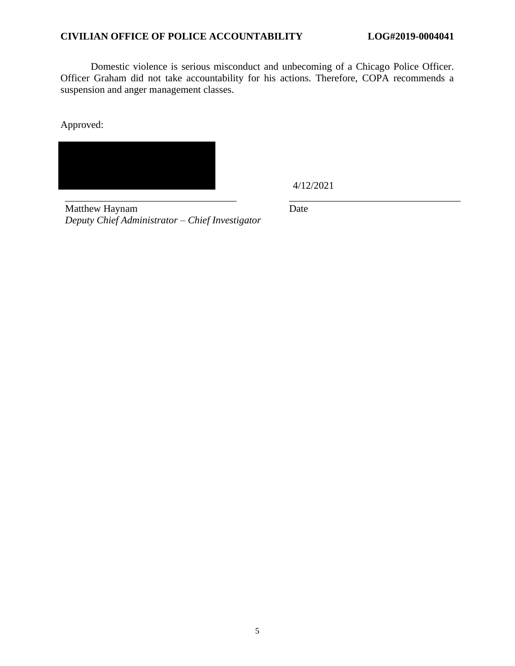#### **CIVILIAN OFFICE OF POLICE ACCOUNTABILITY LOG#2019-0004041**

Domestic violence is serious misconduct and unbecoming of a Chicago Police Officer. Officer Graham did not take accountability for his actions. Therefore, COPA recommends a suspension and anger management classes.

Approved:



4/12/2021

\_\_\_\_\_\_\_\_\_\_\_\_\_\_\_\_\_\_\_\_\_\_\_\_\_\_\_\_\_\_\_\_\_\_ \_\_\_\_\_\_\_\_\_\_\_\_\_\_\_\_\_\_\_\_\_\_\_\_\_\_\_\_\_\_\_\_\_\_ Matthew Haynam *Deputy Chief Administrator – Chief Investigator*

Date